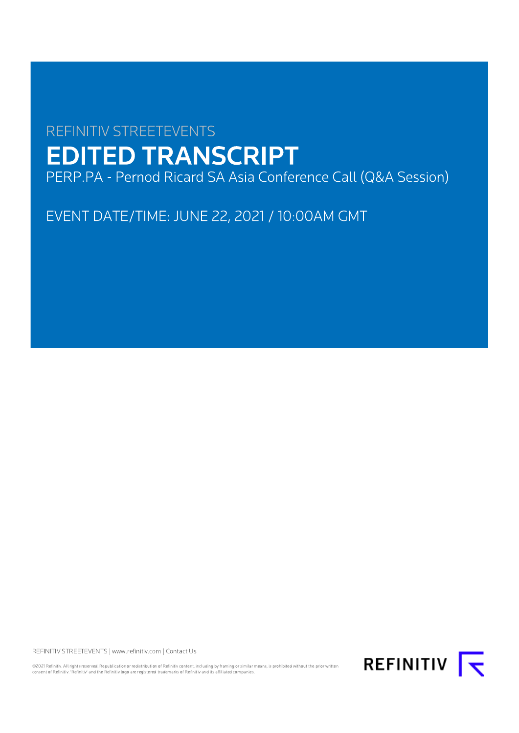# **REFINITIV STREETEVENTS EDITED TRANSCRIPT**

PERP.PA - Pernod Ricard SA Asia Conference Call (Q&A Session)

EVENT DATE/TIME: JUNE 22, 2021 / 10:00AM GMT

REFINITIV STREETEVENTS | www.refinitiv.com | Contact Us

©2021 Refinitiv. All rights reserved. Republication or redistribution of Refinitiv content, including by framing or similar means, is prohibited without the prior written<br>consent of Refinitiv. 'Refinitiv' and the Refinitiv

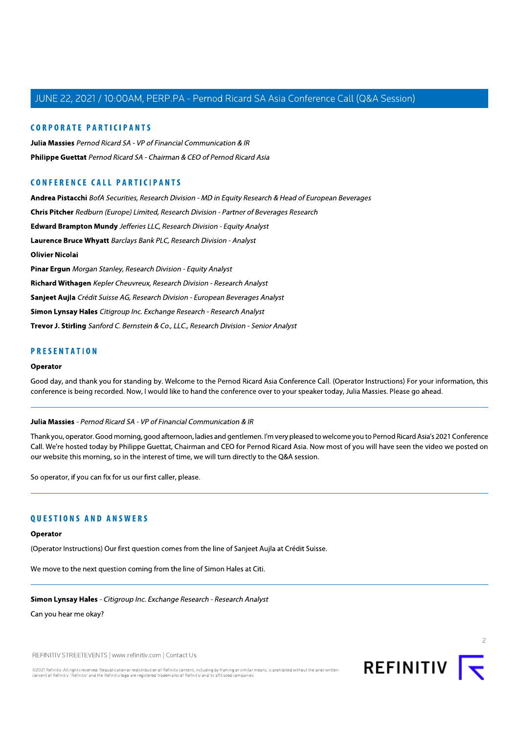# **CORPORATE PARTICIPANTS**

**Julia Massies** Pernod Ricard SA - VP of Financial Communication & IR Philippe Guettat Pernod Ricard SA - Chairman & CEO of Pernod Ricard Asia

# **CONFERENCE CALL PARTICIPANTS**

Andrea Pistacchi BofA Securities, Research Division - MD in Equity Research & Head of European Beverages Chris Pitcher Redburn (Europe) Limited, Research Division - Partner of Beverages Research Edward Brampton Mundy Jefferies LLC, Research Division - Equity Analyst Laurence Bruce Whyatt Barclays Bank PLC, Research Division - Analyst **Olivier Nicolai** Pinar Ergun Morgan Stanley, Research Division - Equity Analyst Richard Withagen Kepler Cheuvreux, Research Division - Research Analyst Sanjeet Aujla Crédit Suisse AG, Research Division - European Beverages Analyst Simon Lynsay Hales Citigroup Inc. Exchange Research - Research Analyst Trevor J. Stirling Sanford C. Bernstein & Co., LLC., Research Division - Senior Analyst

# **PRESENTATION**

# Operator

Good day, and thank you for standing by. Welcome to the Pernod Ricard Asia Conference Call. (Operator Instructions) For your information, this conference is being recorded. Now, I would like to hand the conference over to your speaker today, Julia Massies. Please go ahead.

#### Julia Massies - Pernod Ricard SA - VP of Financial Communication & IR

Thank you, operator. Good morning, good afternoon, ladies and gentlemen. I'm very pleased to welcome you to Pernod Ricard Asia's 2021 Conference Call. We're hosted today by Philippe Guettat, Chairman and CEO for Pernod Ricard Asia. Now most of you will have seen the video we posted on our website this morning, so in the interest of time, we will turn directly to the Q&A session.

So operator, if you can fix for us our first caller, please.

# **OUESTIONS AND ANSWERS**

#### Operator

(Operator Instructions) Our first question comes from the line of Sanjeet Aujla at Crédit Suisse.

We move to the next question coming from the line of Simon Hales at Citi.

Simon Lynsay Hales - Citigroup Inc. Exchange Research - Research Analyst

Can you hear me okay?

REFINITIV STREETEVENTS | www.refinitiv.com | Contact Us

©2021 Refinitiv. All rights reserved. Republication or redistribution of Refinitiv content, including by framing or similar means, is prohibited without the prior written consent of Refinitiv. 'Refinitiv' and the Refinitiv logo are registered trademarks of Refinitiv and its affiliated companie

**REFINITIV** |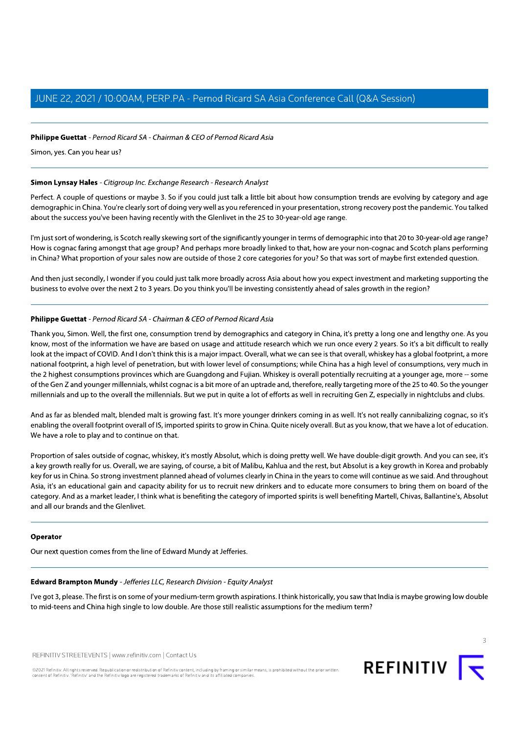# Philippe Guettat - Pernod Ricard SA - Chairman & CEO of Pernod Ricard Asia

Simon, yes. Can you hear us?

## Simon Lynsay Hales - Citigroup Inc. Exchange Research - Research Analyst

Perfect. A couple of questions or maybe 3. So if you could just talk a little bit about how consumption trends are evolving by category and age demographic in China. You're clearly sort of doing very well as you referenced in your presentation, strong recovery post the pandemic. You talked about the success you've been having recently with the Glenlivet in the 25 to 30-year-old age range.

I'm just sort of wondering, is Scotch really skewing sort of the significantly younger in terms of demographic into that 20 to 30-year-old age range? How is cognac faring amongst that age group? And perhaps more broadly linked to that, how are your non-cognac and Scotch plans performing in China? What proportion of your sales now are outside of those 2 core categories for you? So that was sort of maybe first extended question.

And then just secondly, I wonder if you could just talk more broadly across Asia about how you expect investment and marketing supporting the business to evolve over the next 2 to 3 years. Do you think you'll be investing consistently ahead of sales growth in the region?

# Philippe Guettat - Pernod Ricard SA - Chairman & CEO of Pernod Ricard Asia

Thank you, Simon. Well, the first one, consumption trend by demographics and category in China, it's pretty a long one and lengthy one. As you know, most of the information we have are based on usage and attitude research which we run once every 2 years. So it's a bit difficult to really look at the impact of COVID. And I don't think this is a major impact. Overall, what we can see is that overall, whiskey has a global footprint, a more national footprint, a high level of penetration, but with lower level of consumptions; while China has a high level of consumptions, very much in the 2 highest consumptions provinces which are Guangdong and Fujian. Whiskey is overall potentially recruiting at a younger age, more -- some of the Gen Z and younger millennials, whilst cognac is a bit more of an uptrade and, therefore, really targeting more of the 25 to 40. So the younger millennials and up to the overall the millennials. But we put in quite a lot of efforts as well in recruiting Gen Z, especially in nightclubs and clubs.

And as far as blended malt, blended malt is growing fast. It's more younger drinkers coming in as well. It's not really cannibalizing cognac, so it's enabling the overall footprint overall of IS, imported spirits to grow in China. Quite nicely overall. But as you know, that we have a lot of education. We have a role to play and to continue on that.

Proportion of sales outside of cognac, whiskey, it's mostly Absolut, which is doing pretty well. We have double-digit growth. And you can see, it's a key growth really for us. Overall, we are saying, of course, a bit of Malibu, Kahlua and the rest, but Absolut is a key growth in Korea and probably key for us in China. So strong investment planned ahead of volumes clearly in China in the years to come will continue as we said. And throughout Asia, it's an educational gain and capacity ability for us to recruit new drinkers and to educate more consumers to bring them on board of the category. And as a market leader, I think what is benefiting the category of imported spirits is well benefiting Martell, Chivas, Ballantine's, Absolut and all our brands and the Glenlivet.

#### Operator

Our next question comes from the line of Edward Mundy at Jefferies.

#### Edward Brampton Mundy - Jefferies LLC, Research Division - Equity Analyst

I've got 3, please. The first is on some of your medium-term growth aspirations. I think historically, you saw that India is maybe growing low double to mid-teens and China high single to low double. Are those still realistic assumptions for the medium term?

REFINITIV STREETEVENTS | www.refinitiv.com | Contact Us

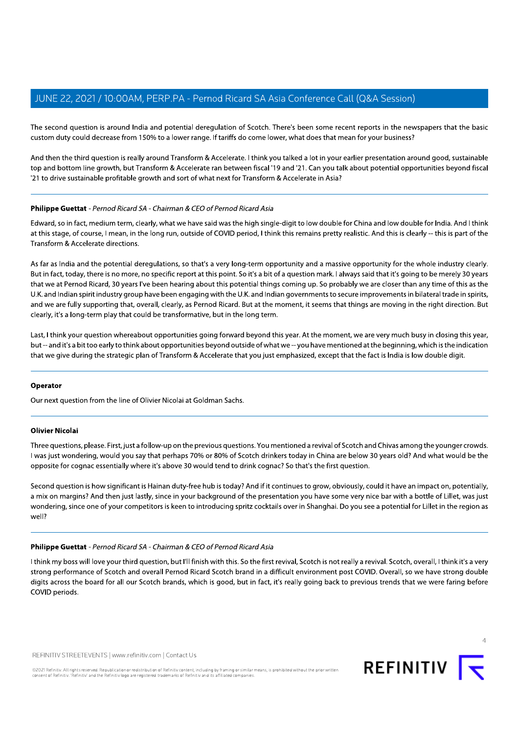The second question is around India and potential deregulation of Scotch. There's been some recent reports in the newspapers that the basic custom duty could decrease from 150% to a lower range. If tariffs do come lower, what does that mean for your business?

And then the third question is really around Transform & Accelerate. I think you talked a lot in your earlier presentation around good, sustainable top and bottom line growth, but Transform & Accelerate ran between fiscal '19 and '21. Can you talk about potential opportunities beyond fiscal '21 to drive sustainable profitable growth and sort of what next for Transform & Accelerate in Asia?

# Philippe Guettat - Pernod Ricard SA - Chairman & CEO of Pernod Ricard Asia

Edward, so in fact, medium term, clearly, what we have said was the high single-digit to low double for China and low double for India. And I think at this stage, of course, I mean, in the long run, outside of COVID period, I think this remains pretty realistic. And this is clearly -- this is part of the Transform & Accelerate directions.

As far as India and the potential deregulations, so that's a very long-term opportunity and a massive opportunity for the whole industry clearly. But in fact, today, there is no more, no specific report at this point. So it's a bit of a question mark, I always said that it's going to be merely 30 years that we at Pernod Ricard, 30 years I've been hearing about this potential things coming up. So probably we are closer than any time of this as the U.K. and Indian spirit industry group have been engaging with the U.K. and Indian governments to secure improvements in bilateral trade in spirits, and we are fully supporting that, overall, clearly, as Pernod Ricard. But at the moment, it seems that things are moving in the right direction. But clearly, it's a long-term play that could be transformative, but in the long term.

Last, I think your question whereabout opportunities going forward beyond this year. At the moment, we are very much busy in closing this year, but -- and it's a bit too early to think about opportunities beyond outside of what we -- you have mentioned at the beginning, which is the indication that we give during the strategic plan of Transform & Accelerate that you just emphasized, except that the fact is India is low double digit.

#### Operator

Our next question from the line of Olivier Nicolai at Goldman Sachs.

### **Olivier Nicolai**

Three questions, please. First, just a follow-up on the previous questions. You mentioned a revival of Scotch and Chivas among the younger crowds. I was just wondering, would you say that perhaps 70% or 80% of Scotch drinkers today in China are below 30 years old? And what would be the opposite for cognac essentially where it's above 30 would tend to drink cognac? So that's the first question.

Second question is how significant is Hainan duty-free hub is today? And if it continues to grow, obviously, could it have an impact on, potentially, a mix on margins? And then just lastly, since in your background of the presentation you have some very nice bar with a bottle of Lillet, was just wondering, since one of your competitors is keen to introducing spritz cocktails over in Shanghai. Do you see a potential for Lillet in the region as well?

# Philippe Guettat - Pernod Ricard SA - Chairman & CEO of Pernod Ricard Asia

I think my boss will love your third question, but I'll finish with this. So the first revival, Scotch is not really a revival. Scotch, overall, I think it's a very strong performance of Scotch and overall Pernod Ricard Scotch brand in a difficult environment post COVID. Overall, so we have strong double digits across the board for all our Scotch brands, which is good, but in fact, it's really going back to previous trends that we were faring before COVID periods.

REFINITIV STREETEVENTS | www.refinitiv.com | Contact Us

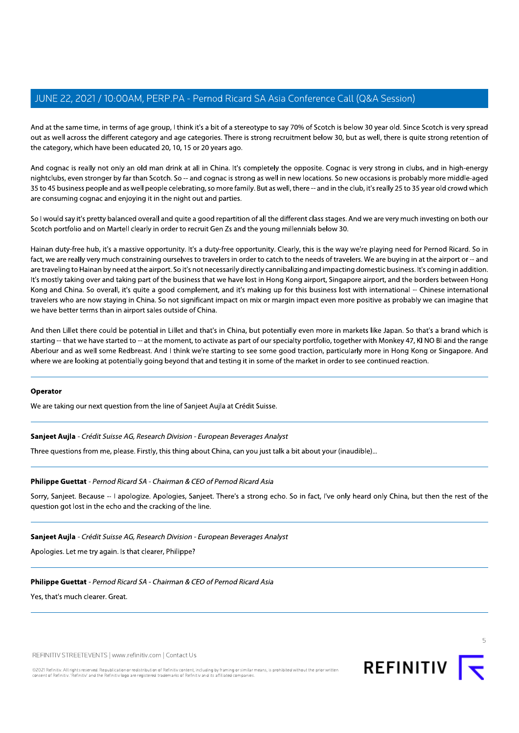And at the same time, in terms of age group, I think it's a bit of a stereotype to say 70% of Scotch is below 30 year old. Since Scotch is very spread in the first of a stereory of think it's a bit of a stereory of a stere out as well across the different category and age categories. There is strong recruitment below 30, but as well, there is quite strong retention of the category, which have been educated 20, T0, T5 or 20 years ago.  $\,$ 

And cognac is really not only an old man drink at all in China. It's completely the opposite. Cognac is very strong in clubs, and in high-energy M, PERP.PA - Pernod Ricard SA Asia<br>fage group, I think it's a bit of a stereotype to say<br>ategory and age categories. There is strong recr<br>ducated 20, 10, 15 or 20 years ago.<br>I old man drink at all in China. It's completely d SA Asia Conference Call (Q&A Sessi<br>
otype to say 70% of Scotch is below 30 year old.<br>
strong recruitment below 30, but as well, there<br>
ompletely the opposite. Cognac is very strong in<br>
ompletely the opposite. Cognac is v nightclubs, even stronger by far than Scotch. So -- and cognac is strong as well in new locations. So new occasions is probably more middle-aged 35 to 45 business people and as well people celebrating, so more family. But as well, there -- and in the club, it's really 25 to 35 year old crowd which  $\,$ are consuming cognac and enjoying it in the night out and parties.

So I would say it's pretty balanced overall and quite a good repartition of all the different class stages. And we are very much investing on both our Scotch portfolio and on Martell clearly in order to recruit Gen 2s and the young millennials below 30.

Hainan duty-free hub, it's a massive opportunity. It's a duty-free opportunity. Clearly, this is the way we're playing need for Pernod Ricard. So in l cognac is strong as well in new locations. So new occasions<br>g, so more family. But as well, there -- and in the club, it's really<br>t and parties.<br>lood repartition of all the different class stages. And we are ve<br>uit Gen Z fact, we are really very much constraining ourselves to travelers in order to catch to the needs of travelers. We are buying in at the airport or -- and included the stranger and included the model of the model. And includ are traveling to Hainan by need at the airport. So it's not necessarily directly cannibalizing and impacting domestic business. It's coming in addition. it's mostly taking over and taking part of the business that we have lost in Hong Kong airport, Singapore airport, and the borders between Hong Kong and China. So overall, it's quite a good complement, and it's making up for this business lost with international -- Chinese international So I would say it's pretty balanced c<br>Scotch portfolio and on Martell cle<br>Scotch portfolio and on Martell cle<br>Hainan duty-free hub, it's a massiv<br>fact, we are really very much const<br>are traveling to Hainan by need at t<br>It' s. And we are very much investing on both our<br>0.<br>ay we're playing need for Pernod Ricard. So in<br>velers. We are buying in at the airport or -- and<br>ting domestic business. It's coming in addition.<br>apore airport, and the bord travelers who are now staying in China. So not significant impact on mix or margin impact even more positive as probably we can imagine that prifolio and on Martell clearly in order to recruit (<br>
uty-free hub, it's a massive opportunity. It's a du<br>
re really very much constraining ourselves to tra<br>
ing to Hainan by need at the airport. So it's not ne<br>
y taking we have better terms than in airport sales outside of China. massive opportunity. It's a duty-free opportunity<br>constraining ourselves to travelers in order to ca<br>ed at the airport. So it's not necessarily directly ca<br>kking part of the business that we have lost in He<br>it's quite a go ing ourselves to travelers in order to catch to the<br>airport. So it's not necessarily directly cannibalizin<br>of the business that we have lost in Hong Kong<br>a good complement, and it's making up for th<br>a. So not significant i

And then Lillet there could be potential in Lillet and that's in China, but potentially even more in markets like Japan. So that's a brand which is starting -- that we have started to -- at the moment, to activate as part of our specialty portfolio, together with Monkey 47, KI NO BI and the range  $\,$ Aberlour and as well some Redbreast. And I think we're starting to see some good traction, particularly more in Hong Kong or Singapore. And where we are looking at potentially going beyond that and testing it in some of the market in order to see continued reaction. and a presence and the main polar potentially cream<br>amoment, to activate as part of our specialty po<br>nd I think we're starting to see some good tract<br>g beyond that and testing it in some of the mark<br>eine of Sanjeet Aujla a

# **Operator**

We are taking our next question from the line of Sanj $\epsilon$ 

Three questions from me, please. Firstly, this thing about China, can you just talk a bit about your (inaudible)…

Operator<br>
We are taking our next question from the line of Sanjeet Aujla at Crédit Suisse.<br>
Sanjeet Aujla - Crédit Suisse AG, Research Division - European Beverages Anal,<br>
Three questions from me, please. Firstly, this thi transport that the term of the line of Sanjeet Aujla at Crédit Suisse.<br>In the line of Sanjeet Aujla at Crédit Suisse.<br>In the second the line of Sanjeet Aujla at Crédit Suisse.<br>In the second Ricard SA - Chairman & CEO of Pe From the line of Sanjeet Aujla at Crédit Suisse.<br>
Research Division - European Beverages Analyst<br>
Firstly, this thing about China, can you just talk a bit about your (inaudi<br>
J<br>
SA - Chairman & CEO of Pernod Ricard Asia<br>
g In the thermal testing it in some of the mainter in order to see out<br>
Sanjeet Aujla at Crédit Suisse.<br>
Sion - European Beverages Analyst<br>
Ing about China, can you just talk a bit about your (inaudible)...<br>
The CEO of Perno from the line of Sanjeet Aujla at Crédit Suisse.<br>
Research Division - European Beverages Analyst<br>
Firstly, this thing about China, can you just talk<br>
J<br>
SA - Chairman & CEO of Pernod Ricard Asia<br>
gize. Apologies, Sanjeet. Sanjeet Aujla - Crédit Suisse AG, Research Division<br>Three questions from me, please. Firstly, this thing a<br>**Philippe Guettat** - *Pernod Ricard SA* - Chairman & C<br>Sorry, Sanjeet. Because -- I apologize. Apologies, Sa<br>questi Sanjeet Aujla - Crédit Suisse AG, Research Division - European Beverage:<br>
Three questions from me, please. Firstly, this thing about China, can you<br> **Philippe Guettat** - Pernod Ricard SA - Chairman & CEO of Pernod Ricard<br> Crédit Suisse AG, Research Division - European Beverages Androm me, please. Firstly, this thing about China, can you just<br> **Crédit Suisse AG, Research Division - European Beverages Androm me, please. Firstly, this thing ab** Fort question find the orient pliniple of subsetimal detection subset.<br>
Adit Suisse AG, Research Division - European Beverages Analyst<br>
m me, please. Firstly, this thing about China, can you just talk a bit about<br>
Pernod R Research Division - European Beverages Analyst<br>Firstly, this thing about China, can you just talk a bit about your (inaudil<br>15A - Chairman & CEO of Pernod Ricard Asia<br>gize. Apologies, Sanjeet. There's a strong echo. So in Sorry, Sanjeet. Because -- I apologize. Apologies, Sanjeet. There's a strong echo. So in fact, I've only heard only China, but then the rest of the 'question got lost in the echo and the cracking of the line. **Philippe Guettat** - *Pernod Ricard SA* - *Chairman & CEO of Pernod Ricard Asia*<br>Sorry, Sanjeet. Because -- I apologize. Apologies, Sanjeet. There's a strong ech<br>question got lost in the echo and the cracking of the line.<br> ernod Ricard SA - Chairman & CEO of Pernod Ricard Asia<br>se -- I apologize. Apologies, Sanjeet. There's a strong echo. So in face<br>echo and the cracking of the line.<br><br>*L* Suisse AG, Research Division - European Beverages Anal A SA - Chairman & CEO of Pernod Ricard Asia<br>
gize. Apologies, Sanjeet. There's a strong echo. So in fact, I've only he<br>
the cracking of the line.<br>
Research Division - European Beverages Analyst<br>
st clearer, Philippe?<br>
A SA n & CEO of Pernod Ricard Asia<br>
es, Sanjeet. There's a strong echo. So in fact, I've only heard of<br>
f the line.<br>
sion - European Beverages Analyst<br>
ppe?<br>
An & CEO of Pernod Ricard Asia

Research Division - European Beverages Analyst<br>It clearer, Philippe?<br>15A - Chairman & CEO of Pernod Ricard Asia<br>115A - Chairman & CEO of Pernod Ricard Asia

Apologies. Let me try again. Is that clearer, Philippe?  $\hspace{0.1mm}$ 

Sanjeet Aujla - Crédit Suisse AG, Research Division<br>Apologies. Let me try again. Is that clearer, Philippe?<br>Philippe Guettat - *Pernod Ricard SA* - Chairman & C<br>Yes, that's much clearer. Great.<br>TREFINITIV STREETEVENTS | ww Sanjeet Aujla - *Crédit Suisse AG, Research Division - European Beverage*:<br>Apologies. Let me try again. Is that clearer, Philippe?<br>**Philippe Guettat** - *Pernod Ricard SA* - *Chairman & CEO of Pernod Ricard*.<br>Yes, that's mu Crédit Suisse AG, Research Division - European Beverages Andre try again. Is that clearer, Philippe?<br> **The try again.** Is that clearer, Philippe?<br> **It** - Pernod Ricard SA - Chairman & CEO of Pernod Ricard Asia<br>
clearer. Gr Fatt Suisse AG, Research Division - European Beverages Analyst<br>Expagnand Is that clearer, Philippe?<br>Pernod Ricard SA - Chairman & CEO of Pernod Ricard Asia<br>Parer. Great.<br>NENTS | www.refinitiv.com | Contact Us

Yes, that's much clearer. Great.

REFINITIV STREETEVENTS | www.refinitiv.com | Contact Us

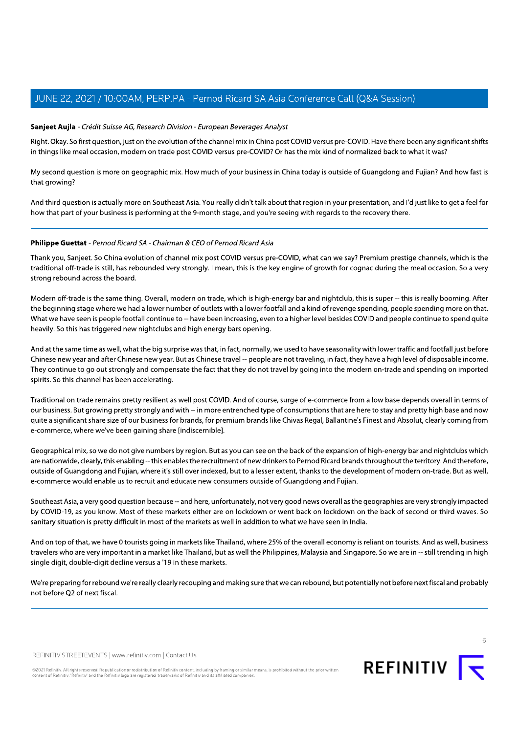# Sanjeet Aujla - Crédit Suisse AG, Research Division - European Beverages Analyst

Right. Okay. So first question, just on the evolution of the channel mix in China post COVID versus pre-COVID. Have there been any significant shifts in things like meal occasion, modern on trade post COVID versus pre-COVID? Or has the mix kind of normalized back to what it was?

My second question is more on geographic mix. How much of your business in China today is outside of Guangdong and Fujian? And how fast is that growing?

And third question is actually more on Southeast Asia. You really didn't talk about that region in your presentation, and I'd just like to get a feel for how that part of your business is performing at the 9-month stage, and you're seeing with regards to the recovery there.

# Philippe Guettat - Pernod Ricard SA - Chairman & CEO of Pernod Ricard Asia

Thank you, Sanjeet. So China evolution of channel mix post COVID versus pre-COVID, what can we say? Premium prestige channels, which is the traditional off-trade is still, has rebounded very strongly. I mean, this is the key engine of growth for cognac during the meal occasion. So a very strong rebound across the board.

Modern off-trade is the same thing. Overall, modern on trade, which is high-energy bar and nightclub, this is super -- this is really booming. After the beginning stage where we had a lower number of outlets with a lower footfall and a kind of revenge spending, people spending more on that. What we have seen is people footfall continue to -- have been increasing, even to a higher level besides COVID and people continue to spend quite heavily. So this has triggered new nightclubs and high energy bars opening.

And at the same time as well, what the big surprise was that, in fact, normally, we used to have seasonality with lower traffic and footfall just before Chinese new year and after Chinese new year. But as Chinese travel -- people are not traveling, in fact, they have a high level of disposable income. They continue to go out strongly and compensate the fact that they do not travel by going into the modern on-trade and spending on imported spirits. So this channel has been accelerating.

Traditional on trade remains pretty resilient as well post COVID. And of course, surge of e-commerce from a low base depends overall in terms of our business. But growing pretty strongly and with -- in more entrenched type of consumptions that are here to stay and pretty high base and now quite a significant share size of our business for brands, for premium brands like Chivas Regal, Ballantine's Finest and Absolut, clearly coming from e-commerce, where we've been gaining share [indiscernible].

Geographical mix, so we do not give numbers by region. But as you can see on the back of the expansion of high-energy bar and nightclubs which are nationwide, clearly, this enabling -- this enables the recruitment of new drinkers to Pernod Ricard brands throughout the territory. And therefore, outside of Guangdong and Fujian, where it's still over indexed, but to a lesser extent, thanks to the development of modern on-trade. But as well, e-commerce would enable us to recruit and educate new consumers outside of Guangdong and Fujian.

Southeast Asia, a very good question because -- and here, unfortunately, not very good news overall as the geographies are very strongly impacted by COVID-19, as you know. Most of these markets either are on lockdown or went back on lockdown on the back of second or third waves. So sanitary situation is pretty difficult in most of the markets as well in addition to what we have seen in India.

And on top of that, we have 0 tourists going in markets like Thailand, where 25% of the overall economy is reliant on tourists. And as well, business travelers who are very important in a market like Thailand, but as well the Philippines, Malaysia and Singapore. So we are in -- still trending in high single digit, double-digit decline versus a '19 in these markets.

We're preparing for rebound we're really clearly recouping and making sure that we can rebound, but potentially not before next fiscal and probably not before Q2 of next fiscal.

REFINITIV STREETEVENTS | www.refinitiv.com | Contact Us

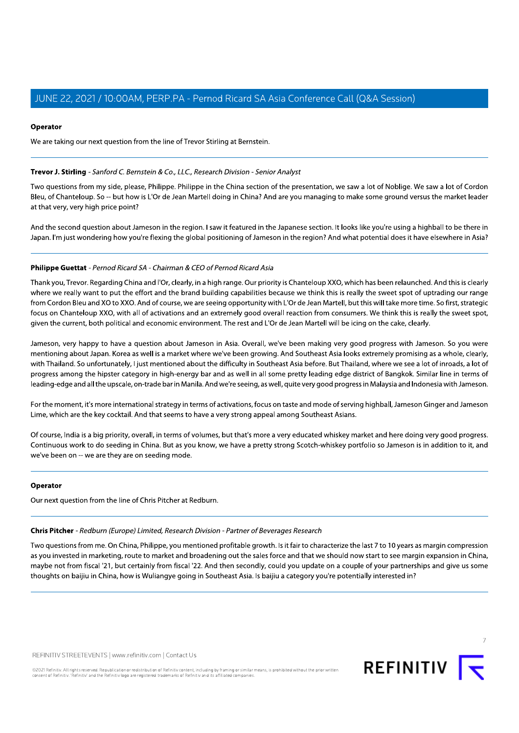# Operator

We are taking our next question from the line of Trevor Stirling at Bernstein.

# Trevor J. Stirling - Sanford C. Bernstein & Co., LLC., Research Division - Senior Analyst

Two questions from my side, please, Philippe. Philippe in the China section of the presentation, we saw a lot of Noblige. We saw a lot of Cordon Bleu, of Chanteloup. So -- but how is L'Or de Jean Martell doing in China? And are you managing to make some ground versus the market leader at that very, very high price point?

And the second question about Jameson in the region. I saw it featured in the Japanese section. It looks like you're using a highball to be there in Japan. I'm just wondering how you're flexing the global positioning of Jameson in the region? And what potential does it have elsewhere in Asia?

# Philippe Guettat - Pernod Ricard SA - Chairman & CEO of Pernod Ricard Asia

Thank you, Trevor. Regarding China and I'Or, clearly, in a high range. Our priority is Chanteloup XXO, which has been relaunched. And this is clearly where we really want to put the effort and the brand building capabilities because we think this is really the sweet spot of uptrading our range from Cordon Bleu and XO to XXO. And of course, we are seeing opportunity with L'Or de Jean Martell, but this will take more time. So first, strategic focus on Chanteloup XXO, with all of activations and an extremely good overall reaction from consumers. We think this is really the sweet spot, given the current, both political and economic environment. The rest and L'Or de Jean Martell will be icing on the cake, clearly.

Jameson, very happy to have a question about Jameson in Asia. Overall, we've been making very good progress with Jameson. So you were mentioning about Japan. Korea as well is a market where we've been growing. And Southeast Asia looks extremely promising as a whole, clearly, with Thailand. So unfortunately, I just mentioned about the difficulty in Southeast Asia before. But Thailand, where we see a lot of inroads, a lot of progress among the hipster category in high-energy bar and as well in all some pretty leading edge district of Bangkok. Similar line in terms of leading-edge and all the upscale, on-trade bar in Manila. And we're seeing, as well, quite very good progress in Malaysia and Indonesia with Jameson.

For the moment, it's more international strategy in terms of activations, focus on taste and mode of serving highball, Jameson Ginger and Jameson Lime, which are the key cocktail. And that seems to have a very strong appeal among Southeast Asians.

Of course, India is a big priority, overall, in terms of volumes, but that's more a very educated whiskey market and here doing very good progress. Continuous work to do seeding in China. But as you know, we have a pretty strong Scotch-whiskey portfolio so Jameson is in addition to it, and we've been on -- we are they are on seeding mode.

#### Operator

Our next question from the line of Chris Pitcher at Redburn.

### Chris Pitcher - Redburn (Europe) Limited, Research Division - Partner of Beverages Research

Two questions from me. On China, Philippe, you mentioned profitable growth. Is it fair to characterize the last 7 to 10 years as margin compression as you invested in marketing, route to market and broadening out the sales force and that we should now start to see margin expansion in China, maybe not from fiscal '21, but certainly from fiscal '22. And then secondly, could you update on a couple of your partnerships and give us some thoughts on baijiu in China, how is Wuliangye going in Southeast Asia. Is baijiu a category you're potentially interested in?

REFINITIV STREETEVENTS | www.refinitiv.com | Contact Us

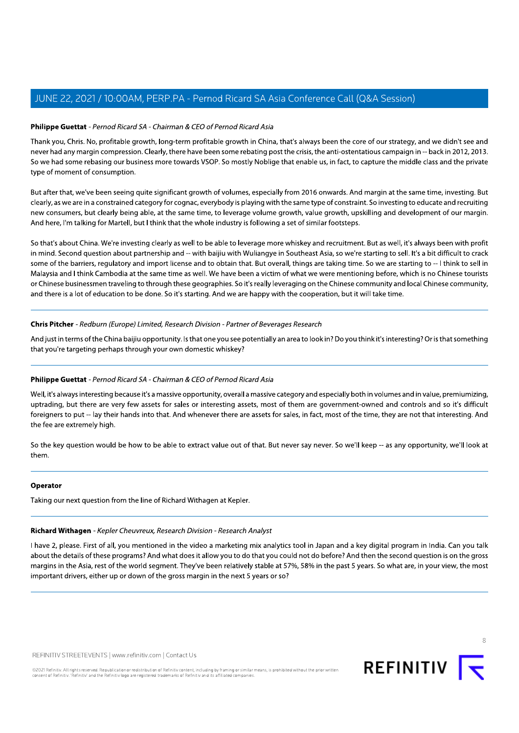# Philippe Guettat - Pernod Ricard SA - Chairman & CEO of Pernod Ricard Asia

Thank you, Chris. No, profitable growth, long-term profitable growth in China, that's always been the core of our strategy, and we didn't see and never had any margin compression. Clearly, there have been some rebating post the crisis, the anti-ostentatious campaign in -- back in 2012, 2013. So we had some rebasing our business more towards VSOP. So mostly Noblige that enable us, in fact, to capture the middle class and the private type of moment of consumption.

But after that, we've been seeing quite significant growth of volumes, especially from 2016 onwards. And margin at the same time, investing. But clearly, as we are in a constrained category for cognac, everybody is playing with the same type of constraint. So investing to educate and recruiting new consumers, but clearly being able, at the same time, to leverage volume growth, value growth, upskilling and development of our margin. And here, I'm talking for Martell, but I think that the whole industry is following a set of similar footsteps.

So that's about China. We're investing clearly as well to be able to leverage more whiskey and recruitment. But as well, it's always been with profit in mind. Second question about partnership and -- with baijiu with Wuliangye in Southeast Asia, so we're starting to sell. It's a bit difficult to crack some of the barriers, regulatory and import license and to obtain that. But overall, things are taking time. So we are starting to -- I think to sell in Malaysia and I think Cambodia at the same time as well. We have been a victim of what we were mentioning before, which is no Chinese tourists or Chinese businessmen traveling to through these geographies. So it's really leveraging on the Chinese community and local Chinese community. and there is a lot of education to be done. So it's starting. And we are happy with the cooperation, but it will take time.

# Chris Pitcher - Redburn (Europe) Limited, Research Division - Partner of Beverages Research

And just in terms of the China baijiu opportunity. Is that one you see potentially an area to look in? Do you think it's interesting? Or is that something that you're targeting perhaps through your own domestic whiskey?

# Philippe Guettat - Pernod Ricard SA - Chairman & CEO of Pernod Ricard Asia

Well, it's always interesting because it's a massive opportunity, overall a massive category and especially both in volumes and in value, premiumizing, uptrading, but there are very few assets for sales or interesting assets, most of them are government-owned and controls and so it's difficult foreigners to put -- lay their hands into that. And whenever there are assets for sales, in fact, most of the time, they are not that interesting. And the fee are extremely high.

So the key question would be how to be able to extract value out of that. But never say never. So we'll keep -- as any opportunity, we'll look at them

# Operator

Taking our next question from the line of Richard Withagen at Kepler.

# Richard Withagen - Kepler Cheuvreux, Research Division - Research Analyst

I have 2, please. First of all, you mentioned in the video a marketing mix analytics tool in Japan and a key digital program in India. Can you talk about the details of these programs? And what does it allow you to do that you could not do before? And then the second question is on the gross margins in the Asia, rest of the world segment. They've been relatively stable at 57%, 58% in the past 5 years. So what are, in your view, the most important drivers, either up or down of the gross margin in the next 5 years or so?

REFINITIV STREETEVENTS | www.refinitiv.com | Contact Us

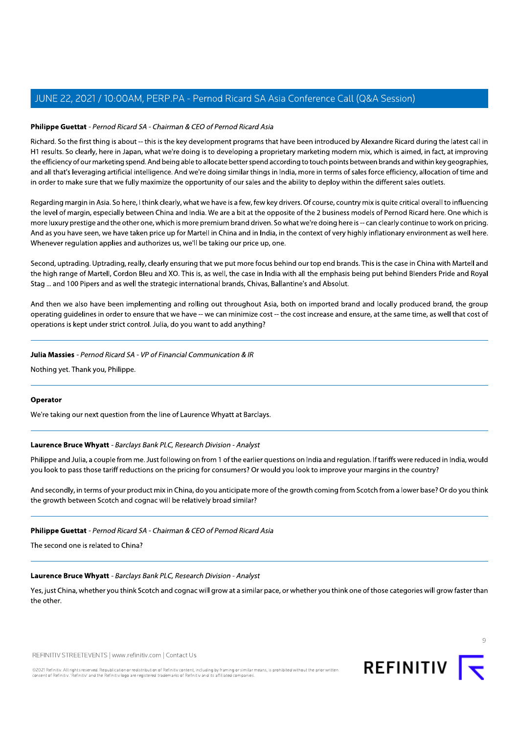# Philippe Guettat - Pernod Ricard SA - Chairman & CEO of Pernod Ricard Asia

Richard. So the first thing is about -- this is the key development programs that have been introduced by Alexandre Ricard during the latest call in H1 results. So clearly, here in Japan, what we're doing is to developing a proprietary marketing modern mix, which is aimed, in fact, at improving the efficiency of our marketing spend. And being able to allocate better spend according to touch points between brands and within key geographies, and all that's leveraging artificial intelligence. And we're doing similar things in India, more in terms of sales force efficiency, allocation of time and in order to make sure that we fully maximize the opportunity of our sales and the ability to deploy within the different sales outlets.

Regarding margin in Asia. So here, I think clearly, what we have is a few, few key drivers. Of course, country mix is quite critical overall to influencing the level of margin, especially between China and India. We are a bit at the opposite of the 2 business models of Pernod Ricard here. One which is more luxury prestige and the other one, which is more premium brand driven. So what we're doing here is -- can clearly continue to work on pricing. And as you have seen, we have taken price up for Martell in China and in India, in the context of very highly inflationary environment as well here. Whenever regulation applies and authorizes us, we'll be taking our price up, one.

Second, uptrading. Uptrading, really, clearly ensuring that we put more focus behind our top end brands. This is the case in China with Martell and the high range of Martell, Cordon Bleu and XO. This is, as well, the case in India with all the emphasis being put behind Blenders Pride and Royal Stag ... and 100 Pipers and as well the strategic international brands, Chivas, Ballantine's and Absolut.

And then we also have been implementing and rolling out throughout Asia, both on imported brand and locally produced brand, the group operating quidelines in order to ensure that we have -- we can minimize cost -- the cost increase and ensure, at the same time, as well that cost of operations is kept under strict control. Julia, do you want to add anything?

# Julia Massies - Pernod Ricard SA - VP of Financial Communication & IR

Nothing yet. Thank you, Philippe.

# Operator

We're taking our next question from the line of Laurence Whyatt at Barclays.

# Laurence Bruce Whyatt - Barclays Bank PLC, Research Division - Analyst

Philippe and Julia, a couple from me. Just following on from 1 of the earlier questions on India and regulation. If tariffs were reduced in India, would you look to pass those tariff reductions on the pricing for consumers? Or would you look to improve your margins in the country?

And secondly, in terms of your product mix in China, do you anticipate more of the growth coming from Scotch from a lower base? Or do you think the growth between Scotch and cognac will be relatively broad similar?

# Philippe Guettat - Pernod Ricard SA - Chairman & CEO of Pernod Ricard Asia

The second one is related to China?

# Laurence Bruce Whyatt - Barclays Bank PLC, Research Division - Analyst

Yes, just China, whether you think Scotch and cognac will grow at a similar pace, or whether you think one of those categories will grow faster than the other.

REFINITIV STREETEVENTS | www.refinitiv.com | Contact Us

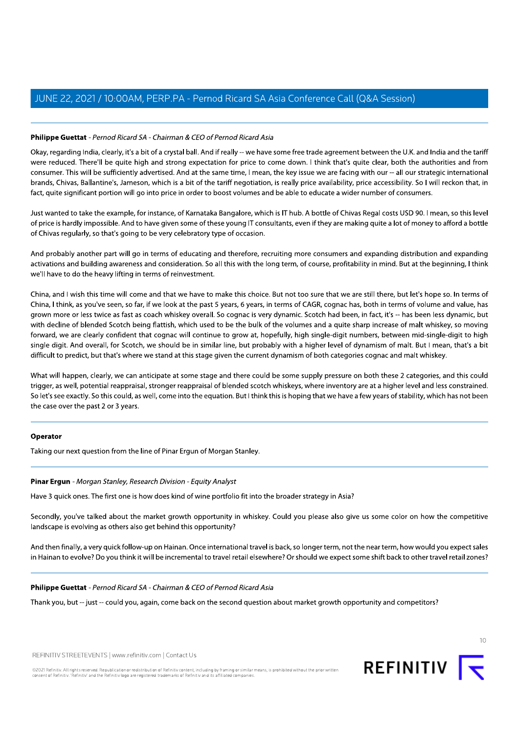# Philippe Guettat - Pernod Ricard SA - Chairman & CEO of Pernod Ricard Asia

Okay, regarding India, clearly, it's a bit of a crystal ball. And if really -- we have some free trade agreement between the U.K. and India and the tariff were reduced. There'll be quite high and strong expectation for price to come down. I think that's quite clear, both the authorities and from consumer. This will be sufficiently advertised. And at the same time, I mean, the key issue we are facing with our -- all our strategic international brands, Chivas, Ballantine's, Jameson, which is a bit of the tariff negotiation, is really price availability, price accessibility. So I will reckon that, in fact, quite significant portion will go into price in order to boost volumes and be able to educate a wider number of consumers.

Just wanted to take the example, for instance, of Karnataka Bangalore, which is IT hub. A bottle of Chivas Regal costs USD 90. I mean, so this level of price is hardly impossible. And to have given some of these young IT consultants, even if they are making quite a lot of money to afford a bottle of Chivas regularly, so that's going to be very celebratory type of occasion.

And probably another part will go in terms of educating and therefore, recruiting more consumers and expanding distribution and expanding activations and building awareness and consideration. So all this with the long term, of course, profitability in mind. But at the beginning, I think we'll have to do the heavy lifting in terms of reinvestment.

China, and I wish this time will come and that we have to make this choice. But not too sure that we are still there, but let's hope so. In terms of China, I think, as you've seen, so far, if we look at the past 5 years, 6 years, in terms of CAGR, cognac has, both in terms of volume and value, has grown more or less twice as fast as coach whiskey overall. So cognac is very dynamic. Scotch had been, in fact, it's -- has been less dynamic, but with decline of blended Scotch being flattish, which used to be the bulk of the volumes and a quite sharp increase of malt whiskey, so moving forward, we are clearly confident that cognac will continue to grow at, hopefully, high single-digit numbers, between mid-single-digit to high single digit. And overall, for Scotch, we should be in similar line, but probably with a higher level of dynamism of malt. But I mean, that's a bit difficult to predict, but that's where we stand at this stage given the current dynamism of both categories cognac and malt whiskey.

What will happen, clearly, we can anticipate at some stage and there could be some supply pressure on both these 2 categories, and this could trigger, as well, potential reappraisal, stronger reappraisal of blended scotch whiskeys, where inventory are at a higher level and less constrained. So let's see exactly. So this could, as well, come into the equation. But I think this is hoping that we have a few years of stability, which has not been the case over the past 2 or 3 years.

#### Operator

Taking our next question from the line of Pinar Ergun of Morgan Stanley.

# Pinar Ergun - Morgan Stanley, Research Division - Equity Analyst

Have 3 quick ones. The first one is how does kind of wine portfolio fit into the broader strategy in Asia?

Secondly, you've talked about the market growth opportunity in whiskey. Could you please also give us some color on how the competitive landscape is evolving as others also get behind this opportunity?

And then finally, a very quick follow-up on Hainan. Once international travel is back, so longer term, not the near term, how would you expect sales in Hainan to evolve? Do you think it will be incremental to travel retail elsewhere? Or should we expect some shift back to other travel retail zones?

#### Philippe Guettat - Pernod Ricard SA - Chairman & CEO of Pernod Ricard Asia

Thank you, but -- just -- could you, again, come back on the second question about market growth opportunity and competitors?

REFINITIV STREETEVENTS | www.refinitiv.com | Contact Us



 $10$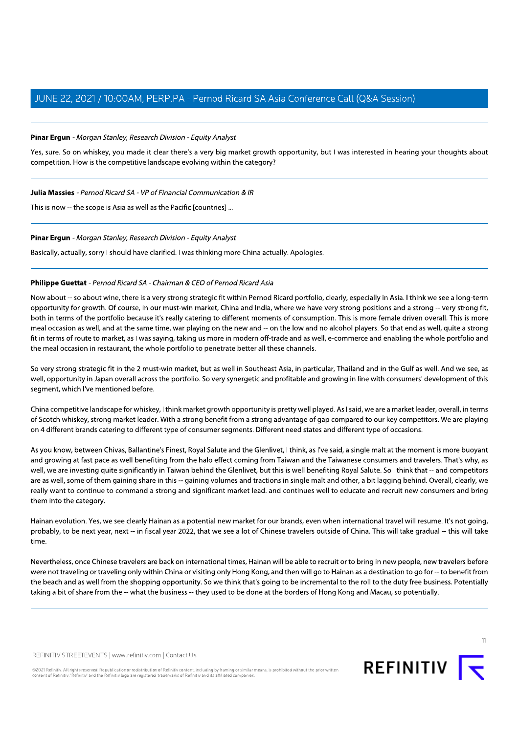# Pinar Ergun - Morgan Stanley, Research Division - Equity Analyst

Yes, sure. So on whiskey, you made it clear there's a very big market growth opportunity, but I was interested in hearing your thoughts about competition. How is the competitive landscape evolving within the category?

Julia Massies - Pernod Ricard SA - VP of Financial Communication & IR

This is now -- the scope is Asia as well as the Pacific [countries] ...

# Pinar Ergun - Morgan Stanley, Research Division - Equity Analyst

Basically, actually, sorry I should have clarified. I was thinking more China actually. Apologies.

# Philippe Guettat - Pernod Ricard SA - Chairman & CEO of Pernod Ricard Asia

Now about -- so about wine, there is a very strong strategic fit within Pernod Ricard portfolio, clearly, especially in Asia. I think we see a long-term opportunity for growth. Of course, in our must-win market, China and India, where we have very strong positions and a strong -- very strong fit, both in terms of the portfolio because it's really catering to different moments of consumption. This is more female driven overall. This is more meal occasion as well, and at the same time, war playing on the new and -- on the low and no alcohol players. So that end as well, quite a strong fit in terms of route to market, as I was saying, taking us more in modern off-trade and as well, e-commerce and enabling the whole portfolio and the meal occasion in restaurant, the whole portfolio to penetrate better all these channels.

So very strong strategic fit in the 2 must-win market, but as well in Southeast Asia, in particular, Thailand and in the Gulf as well. And we see, as well, opportunity in Japan overall across the portfolio. So very synergetic and profitable and growing in line with consumers' development of this seament, which I've mentioned before.

China competitive landscape for whiskey, I think market growth opportunity is pretty well played. As I said, we are a market leader, overall, in terms of Scotch whiskey, strong market leader. With a strong benefit from a strong advantage of gap compared to our key competitors. We are playing on 4 different brands catering to different type of consumer segments. Different need states and different type of occasions.

As you know, between Chivas, Ballantine's Finest, Royal Salute and the Glenlivet, I think, as I've said, a single malt at the moment is more buoyant and growing at fast pace as well benefiting from the halo effect coming from Taiwan and the Taiwanese consumers and travelers. That's why, as well, we are investing quite significantly in Taiwan behind the Glenlivet, but this is well benefiting Royal Salute. So I think that -- and competitors are as well, some of them gaining share in this -- gaining volumes and tractions in single malt and other, a bit lagging behind. Overall, clearly, we really want to continue to command a strong and significant market lead. and continues well to educate and recruit new consumers and bring them into the category.

Hainan evolution. Yes, we see clearly Hainan as a potential new market for our brands, even when international travel will resume. It's not going, probably, to be next year, next -- in fiscal year 2022, that we see a lot of Chinese travelers outside of China. This will take gradual -- this will take time

Nevertheless, once Chinese travelers are back on international times, Hainan will be able to recruit or to bring in new people, new travelers before were not traveling or traveling only within China or visiting only Hong Kong, and then will go to Hainan as a destination to go for -- to benefit from the beach and as well from the shopping opportunity. So we think that's going to be incremental to the roll to the duty free business. Potentially taking a bit of share from the -- what the business -- they used to be done at the borders of Hong Kong and Macau, so potentially.

REFINITIV STREETEVENTS | www.refinitiv.com | Contact Us



 $11$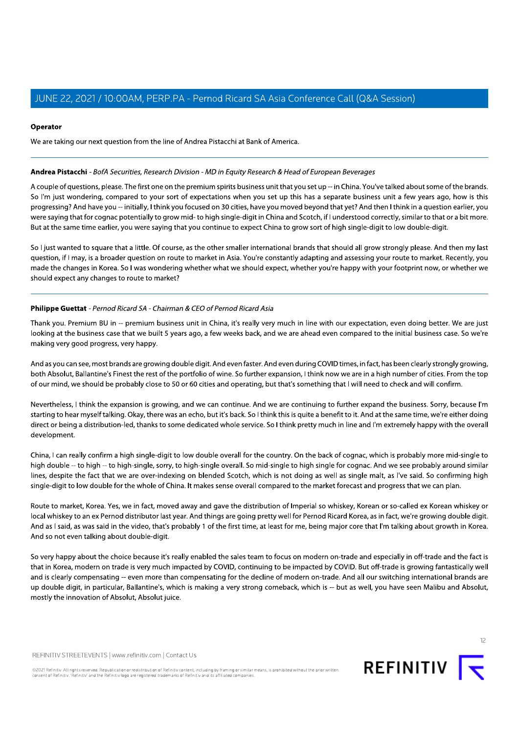# Operator

We are taking our next question from the line of Andrea Pistacchi at Bank of America.

# Andrea Pistacchi - BofA Securities, Research Division - MD in Equity Research & Head of European Beverages

A couple of questions, please. The first one on the premium spirits business unit that you set up -- in China. You've talked about some of the brands. So I'm just wondering, compared to your sort of expectations when you set up this has a separate business unit a few years ago, how is this progressing? And have you -- initially, I think you focused on 30 cities, have you moved beyond that yet? And then I think in a question earlier, you were saying that for cognac potentially to grow mid-to high single-digit in China and Scotch, if I understood correctly, similar to that or a bit more. But at the same time earlier, you were saying that you continue to expect China to grow sort of high single-digit to low double-digit.

So I just wanted to square that a little. Of course, as the other smaller international brands that should all grow strongly please. And then my last question, if I may, is a broader question on route to market in Asia. You're constantly adapting and assessing your route to market. Recently, you made the changes in Korea. So I was wondering whether what we should expect, whether you're happy with your footprint now, or whether we should expect any changes to route to market?

# Philippe Guettat - Pernod Ricard SA - Chairman & CEO of Pernod Ricard Asia

Thank you. Premium BU in -- premium business unit in China, it's really very much in line with our expectation, even doing better. We are just looking at the business case that we built 5 years ago, a few weeks back, and we are ahead even compared to the initial business case. So we're making very good progress, very happy.

And as you can see, most brands are growing double digit. And even faster. And even during COVID times, in fact, has been clearly strongly growing, both Absolut, Ballantine's Finest the rest of the portfolio of wine. So further expansion, I think now we are in a high number of cities. From the top of our mind, we should be probably close to 50 or 60 cities and operating, but that's something that I will need to check and will confirm.

Nevertheless, I think the expansion is growing, and we can continue. And we are continuing to further expand the business. Sorry, because I'm starting to hear myself talking. Okay, there was an echo, but it's back. So I think this is quite a benefit to it. And at the same time, we're either doing direct or being a distribution-led, thanks to some dedicated whole service. So I think pretty much in line and I'm extremely happy with the overall development.

China, I can really confirm a high single-digit to low double overall for the country. On the back of cognac, which is probably more mid-single to high double -- to high -- to high-single, sorry, to high-single overall. So mid-single to high single for cognac. And we see probably around similar lines, despite the fact that we are over-indexing on blended Scotch, which is not doing as well as single malt, as I've said. So confirming high single-digit to low double for the whole of China. It makes sense overall compared to the market forecast and progress that we can plan.

Route to market, Korea. Yes, we in fact, moved away and gave the distribution of Imperial so whiskey, Korean or so-called ex Korean whiskey or local whiskey to an ex Pernod distributor last year. And things are going pretty well for Pernod Ricard Korea, as in fact, we're growing double digit. And as I said, as was said in the video, that's probably 1 of the first time, at least for me, being major core that I'm talking about growth in Korea. And so not even talking about double-digit.

So very happy about the choice because it's really enabled the sales team to focus on modern on-trade and especially in off-trade and the fact is that in Korea, modern on trade is very much impacted by COVID, continuing to be impacted by COVID. But off-trade is growing fantastically well and is clearly compensating -- even more than compensating for the decline of modern on-trade. And all our switching international brands are up double digit, in particular, Ballantine's, which is making a very strong comeback, which is -- but as well, you have seen Malibu and Absolut, mostly the innovation of Absolut, Absolut juice.

REFINITIV STREETEVENTS | www.refinitiv.com | Contact Us



 $12$